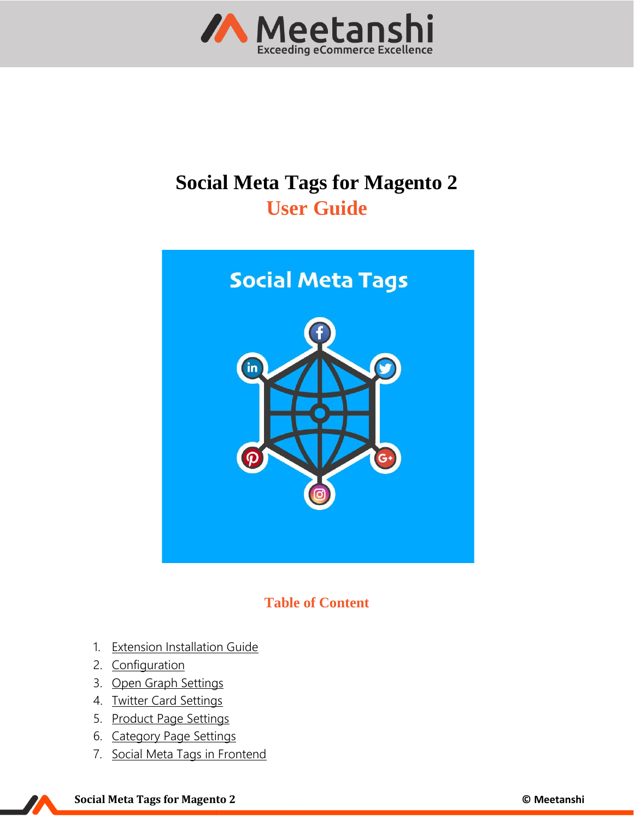

# **Social Meta Tags for Magento 2 User Guide**



## **Table of Content**

- 1. [Extension Installation Guide](#page-1-0)
- 2. [Configuration](#page-1-1)
- 3. [Open Graph Settings](#page-2-0)
- 4. [Twitter Card Settings](#page-3-0)
- 5. [Product Page Settings](#page-4-0)
- 6. [Category Page Settings](#page-6-0)
- 7. [Social Meta Tags](#page-7-0) in Frontend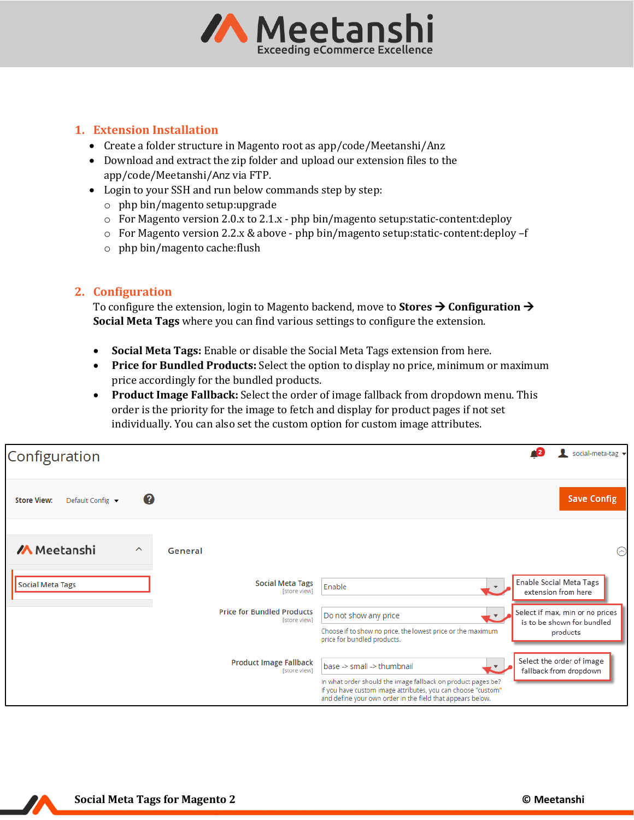

## <span id="page-1-0"></span>**1. Extension Installation**

- Create a folder structure in Magento root as app/code/Meetanshi/Anz
- Download and extract the zip folder and upload our extension files to the app/code/Meetanshi/Anz via FTP.
- Login to your SSH and run below commands step by step:
	- o php bin/magento setup:upgrade
	- $\circ$  For Magento version 2.0.x to 2.1.x php bin/magento setup: static-content: deploy
	- o For Magento version 2.2.x & above php bin/magento setup:static-content:deploy –f
	- o php bin/magento cache:flush

### <span id="page-1-1"></span>**2. Configuration**

To configure the extension, login to Magento backend, move to **Stores** → **Configuration** → **Social Meta Tags** where you can find various settings to configure the extension.

- **Social Meta Tags:** Enable or disable the Social Meta Tags extension from here.
- **Price for Bundled Products:** Select the option to display no price, minimum or maximum price accordingly for the bundled products.
- **Product Image Fallback:** Select the order of image fallback from dropdown menu. This order is the priority for the image to fetch and display for product pages if not set individually. You can also set the custom option for custom image attributes.

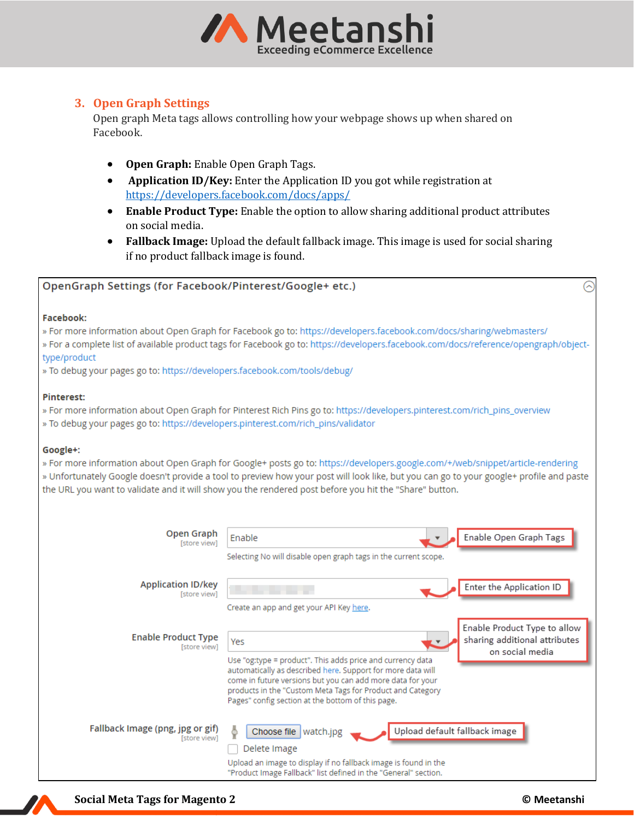

## <span id="page-2-0"></span>**3. Open Graph Settings**

Open graph Meta tags allows controlling how your webpage shows up when shared on Facebook.

- **Open Graph:** Enable Open Graph Tags.
- **Application ID/Key:** Enter the Application ID you got while registration at <https://developers.facebook.com/docs/apps/>
- **Enable Product Type:** Enable the option to allow sharing additional product attributes on social media.
- **Fallback Image:** Upload the default fallback image. This image is used for social sharing if no product fallback image is found.

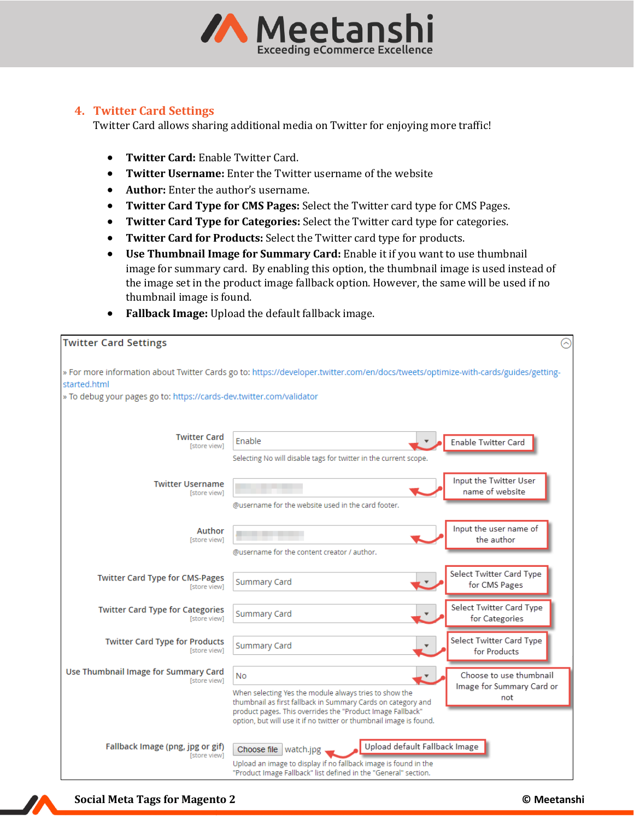

## <span id="page-3-0"></span>**4. Twitter Card Settings**

Twitter Card allows sharing additional media on Twitter for enjoying more traffic!

- **Twitter Card:** Enable Twitter Card.
- **Twitter Username:** Enter the Twitter username of the website
- **Author:** Enter the author's username.
- **Twitter Card Type for CMS Pages:** Select the Twitter card type for CMS Pages.
- **Twitter Card Type for Categories:** Select the Twitter card type for categories.
- **Twitter Card for Products:** Select the Twitter card type for products.
- **Use Thumbnail Image for Summary Card:** Enable it if you want to use thumbnail image for summary card. By enabling this option, the thumbnail image is used instead of the image set in the product image fallback option. However, the same will be used if no thumbnail image is found.
- **Fallback Image:** Upload the default fallback image.

| <b>Twitter Card Settings</b>                                                         |                                                                                                                                                                                                                                                                  |                                                             |
|--------------------------------------------------------------------------------------|------------------------------------------------------------------------------------------------------------------------------------------------------------------------------------------------------------------------------------------------------------------|-------------------------------------------------------------|
| started.html<br>» To debug your pages go to: https://cards-dev.twitter.com/validator | » For more information about Twitter Cards go to: https://developer.twitter.com/en/docs/tweets/optimize-with-cards/guides/getting-                                                                                                                               |                                                             |
| <b>Twitter Card</b><br>[store view]                                                  | Enable<br>Selecting No will disable tags for twitter in the current scope.                                                                                                                                                                                       | Enable Twitter Card                                         |
| <b>Twitter Username</b><br>[store view]                                              | @username for the website used in the card footer.                                                                                                                                                                                                               | Input the Twitter User<br>name of website                   |
| Author<br>[store view]                                                               | @username for the content creator / author.                                                                                                                                                                                                                      | Input the user name of<br>the author                        |
| <b>Twitter Card Type for CMS-Pages</b><br>[store view]                               | <b>Summary Card</b>                                                                                                                                                                                                                                              | Select Twitter Card Type<br>for CMS Pages                   |
| <b>Twitter Card Type for Categories</b><br><b>Istore view1</b>                       | <b>Summary Card</b>                                                                                                                                                                                                                                              | Select Twitter Card Type<br>for Categories                  |
| <b>Twitter Card Type for Products</b><br>[store view]                                | <b>Summary Card</b>                                                                                                                                                                                                                                              | Select Twitter Card Type<br>for Products                    |
| Use Thumbnail Image for Summary Card<br>[store view]                                 | No<br>When selecting Yes the module always tries to show the<br>thumbnail as first fallback in Summary Cards on category and<br>product pages. This overrides the "Product Image Fallback"<br>option, but will use it if no twitter or thumbnail image is found. | Choose to use thumbnail<br>Image for Summary Card or<br>not |
| Fallback Image (png, jpg or gif)<br>[store view]                                     | Upload default Fallback Image<br>Choose file   watch.jpg<br>Upload an image to display if no fallback image is found in the<br>"Product Image Fallback" list defined in the "General" section.                                                                   |                                                             |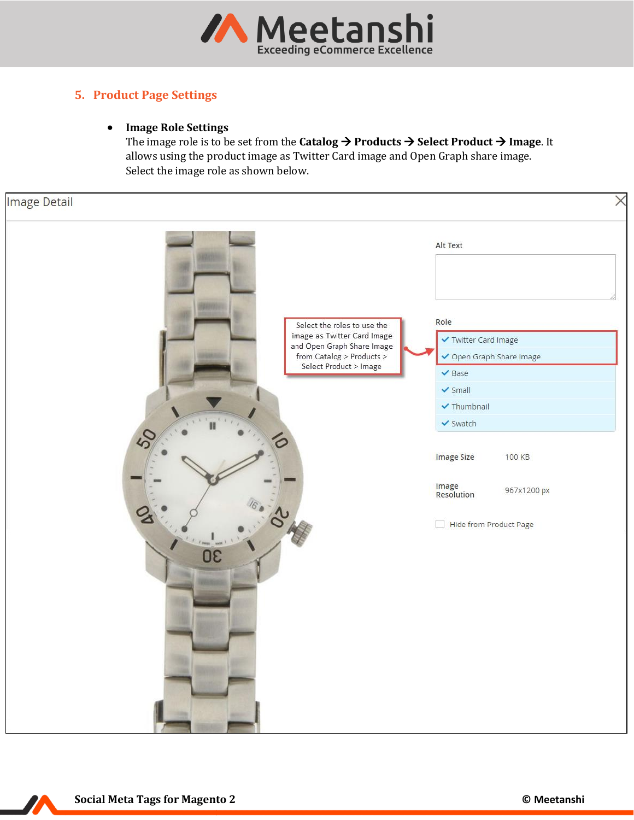

## <span id="page-4-0"></span>**5. Product Page Settings**

## • **Image Role Settings**

The image role is to be set from the **Catalog** → **Products** → **Select Product** → **Image**. It allows using the product image as Twitter Card image and Open Graph share image. Select the image role as shown below.

|                                                                                                                                                                              | $\times$                                                                                                                                                                                                                                                   |
|------------------------------------------------------------------------------------------------------------------------------------------------------------------------------|------------------------------------------------------------------------------------------------------------------------------------------------------------------------------------------------------------------------------------------------------------|
| <b>Image Detail</b><br>Select the roles to use the<br>image as Twitter Card Image<br>and Open Graph Share Image<br>from Catalog > Products ><br>Select Product > Image<br>30 | Alt Text<br>Role<br>✔ Twitter Card Image<br>✔ Open Graph Share Image<br>$\vee$ Base<br>$\checkmark$ Small<br>$\blacktriangledown$ Thumbnail<br>$\checkmark$ Swatch<br>Image Size<br>100 KB<br>Image<br>Resolution<br>967x1200 px<br>Hide from Product Page |
|                                                                                                                                                                              |                                                                                                                                                                                                                                                            |

77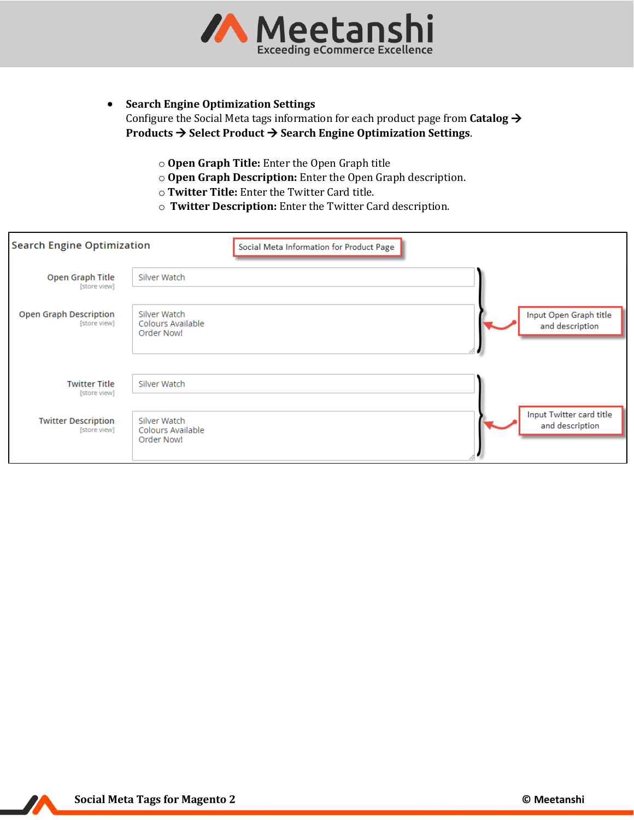

• **Search Engine Optimization Settings**

Configure the Social Meta tags information for each product page from **Catalog** → **Products** → **Select Product** → **Search Engine Optimization Settings**.

- o **Open Graph Title:** Enter the Open Graph title
- o **Open Graph Description:** Enter the Open Graph description.
- o **Twitter Title:** Enter the Twitter Card title.
- o **Twitter Description:** Enter the Twitter Card description.

| <b>Search Engine Optimization</b>             |                                                 | Social Meta Information for Product Page |                                             |
|-----------------------------------------------|-------------------------------------------------|------------------------------------------|---------------------------------------------|
| <b>Open Graph Title</b><br>[store view]       | Silver Watch                                    |                                          |                                             |
| <b>Open Graph Description</b><br>[store view] | Silver Watch<br>Colours Available<br>Order Now! |                                          | Input Open Graph title<br>and description   |
| <b>Twitter Title</b><br>[store view]          | Silver Watch                                    |                                          |                                             |
| <b>Twitter Description</b><br>[store view]    | Silver Watch<br>Colours Available<br>Order Now! |                                          | Input Twitter card title<br>and description |

 $\boldsymbol{r}$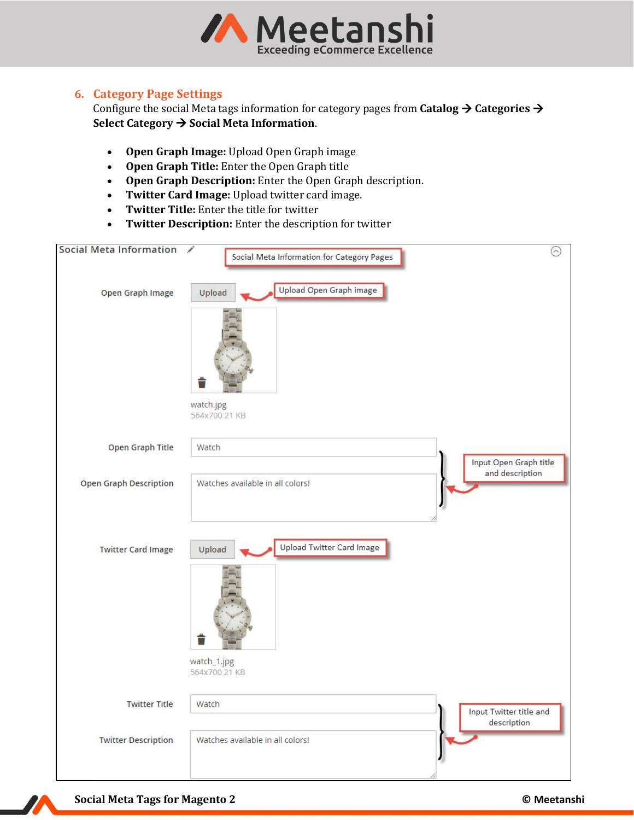

#### <span id="page-6-0"></span>**6. Category Page Settings**

Configure the social Meta tags information for category pages from **Catalog** → **Categories** → **Select Category** → **Social Meta Information**.

- **Open Graph Image:** Upload Open Graph image
- **Open Graph Title:** Enter the Open Graph title
- **Open Graph Description:** Enter the Open Graph description.
- **Twitter Card Image:** Upload twitter card image.
- **Twitter Title:** Enter the title for twitter
- **Twitter Description:** Enter the description for twitter

| <b>Social Meta Information</b> | Social Meta Information for Category Pages | ⊙                       |
|--------------------------------|--------------------------------------------|-------------------------|
|                                |                                            |                         |
|                                |                                            |                         |
| Open Graph Image               | Upload Open Graph image<br>Upload          |                         |
|                                |                                            |                         |
|                                |                                            |                         |
|                                |                                            |                         |
|                                |                                            |                         |
|                                |                                            |                         |
|                                |                                            |                         |
|                                |                                            |                         |
|                                | watch.jpg<br>564x700 21 KB                 |                         |
|                                |                                            |                         |
| Open Graph Title               | Watch                                      |                         |
|                                |                                            | Input Open Graph title  |
|                                |                                            | and description         |
| Open Graph Description         | Watches available in all colors!           |                         |
|                                |                                            |                         |
|                                |                                            |                         |
|                                |                                            |                         |
| <b>Twitter Card Image</b>      | <b>Upload Twitter Card Image</b><br>Upload |                         |
|                                |                                            |                         |
|                                |                                            |                         |
|                                |                                            |                         |
|                                |                                            |                         |
|                                |                                            |                         |
|                                |                                            |                         |
|                                |                                            |                         |
|                                | watch_1.jpg                                |                         |
|                                | 564x700 21 KB                              |                         |
|                                |                                            |                         |
| <b>Twitter Title</b>           | Watch                                      | Input Twitter title and |
|                                |                                            | description             |
| <b>Twitter Description</b>     | Watches available in all colors!           |                         |
|                                |                                            |                         |
|                                |                                            |                         |
|                                |                                            |                         |

70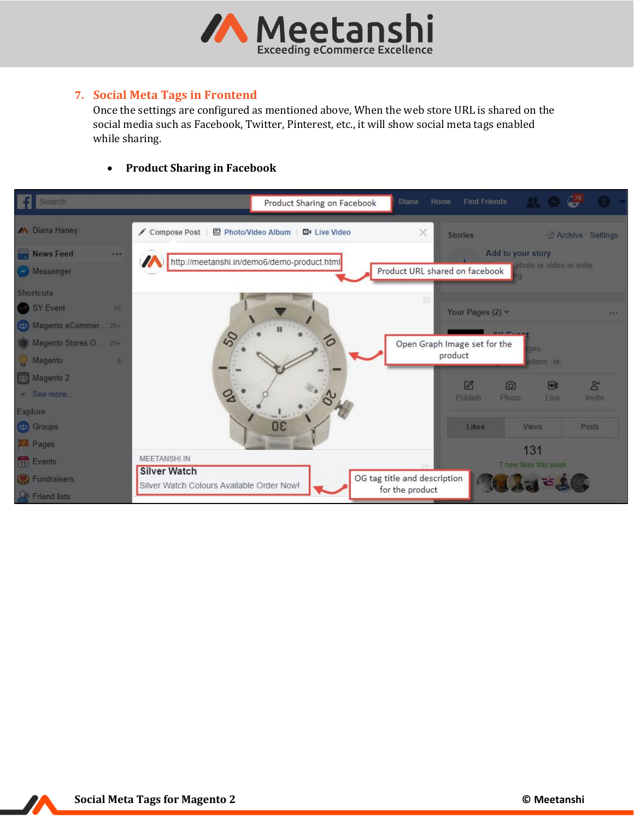

#### <span id="page-7-0"></span>**7. Social Meta Tags in Frontend**

Once the settings are configured as mentioned above, When the web store URL is shared on the social media such as Facebook, Twitter, Pinterest, etc., it will show social meta tags enabled while sharing.

#### • **Product Sharing in Facebook**